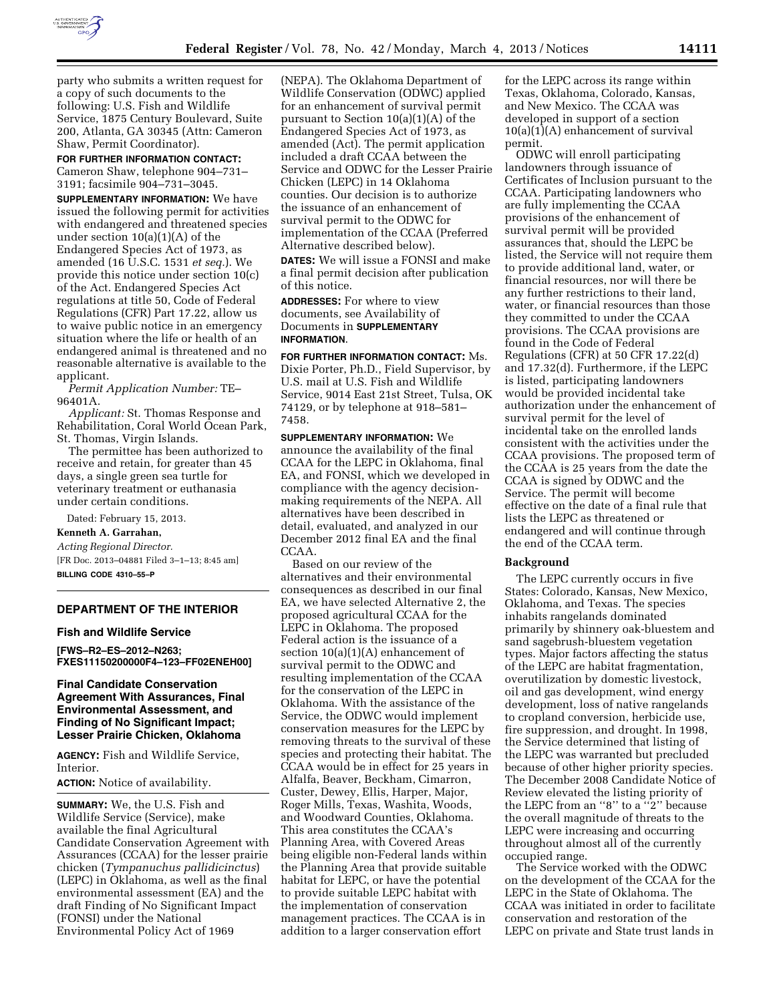

party who submits a written request for a copy of such documents to the following: U.S. Fish and Wildlife Service, 1875 Century Boulevard, Suite 200, Atlanta, GA 30345 (Attn: Cameron Shaw, Permit Coordinator).

**FOR FURTHER INFORMATION CONTACT:**  Cameron Shaw, telephone 904–731– 3191; facsimile 904–731–3045.

**SUPPLEMENTARY INFORMATION:** We have issued the following permit for activities with endangered and threatened species under section 10(a)(1)(A) of the Endangered Species Act of 1973, as amended (16 U.S.C. 1531 *et seq.*). We provide this notice under section 10(c) of the Act. Endangered Species Act regulations at title 50, Code of Federal Regulations (CFR) Part 17.22, allow us to waive public notice in an emergency situation where the life or health of an endangered animal is threatened and no reasonable alternative is available to the applicant.

*Permit Application Number:* TE– 96401A.

*Applicant:* St. Thomas Response and Rehabilitation, Coral World Ocean Park, St. Thomas, Virgin Islands.

The permittee has been authorized to receive and retain, for greater than 45 days, a single green sea turtle for veterinary treatment or euthanasia under certain conditions.

Dated: February 15, 2013.

**Kenneth A. Garrahan,** 

*Acting Regional Director.*  [FR Doc. 2013–04881 Filed 3–1–13; 8:45 am] **BILLING CODE 4310–55–P** 

# **DEPARTMENT OF THE INTERIOR**

## **Fish and Wildlife Service**

**[FWS–R2–ES–2012–N263; FXES11150200000F4–123–FF02ENEH00]** 

## **Final Candidate Conservation Agreement With Assurances, Final Environmental Assessment, and Finding of No Significant Impact; Lesser Prairie Chicken, Oklahoma**

**AGENCY:** Fish and Wildlife Service, Interior.

**ACTION:** Notice of availability.

**SUMMARY:** We, the U.S. Fish and Wildlife Service (Service), make available the final Agricultural Candidate Conservation Agreement with Assurances (CCAA) for the lesser prairie chicken (*Tympanuchus pallidicinctus*) (LEPC) in Oklahoma, as well as the final environmental assessment (EA) and the draft Finding of No Significant Impact (FONSI) under the National Environmental Policy Act of 1969

(NEPA). The Oklahoma Department of Wildlife Conservation (ODWC) applied for an enhancement of survival permit pursuant to Section 10(a)(1)(A) of the Endangered Species Act of 1973, as amended (Act). The permit application included a draft CCAA between the Service and ODWC for the Lesser Prairie Chicken (LEPC) in 14 Oklahoma counties. Our decision is to authorize the issuance of an enhancement of survival permit to the ODWC for implementation of the CCAA (Preferred Alternative described below).

**DATES:** We will issue a FONSI and make a final permit decision after publication of this notice.

**ADDRESSES:** For where to view documents, see Availability of Documents in **SUPPLEMENTARY INFORMATION**.

**FOR FURTHER INFORMATION CONTACT:** Ms. Dixie Porter, Ph.D., Field Supervisor, by U.S. mail at U.S. Fish and Wildlife Service, 9014 East 21st Street, Tulsa, OK 74129, or by telephone at 918–581– 7458.

**SUPPLEMENTARY INFORMATION:** We announce the availability of the final CCAA for the LEPC in Oklahoma, final EA, and FONSI, which we developed in compliance with the agency decisionmaking requirements of the NEPA. All alternatives have been described in detail, evaluated, and analyzed in our December 2012 final EA and the final CCA<sub>A</sub>

Based on our review of the alternatives and their environmental consequences as described in our final EA, we have selected Alternative 2, the proposed agricultural CCAA for the LEPC in Oklahoma. The proposed Federal action is the issuance of a section 10(a)(1)(A) enhancement of survival permit to the ODWC and resulting implementation of the CCAA for the conservation of the LEPC in Oklahoma. With the assistance of the Service, the ODWC would implement conservation measures for the LEPC by removing threats to the survival of these species and protecting their habitat. The CCAA would be in effect for 25 years in Alfalfa, Beaver, Beckham, Cimarron, Custer, Dewey, Ellis, Harper, Major, Roger Mills, Texas, Washita, Woods, and Woodward Counties, Oklahoma. This area constitutes the CCAA's Planning Area, with Covered Areas being eligible non-Federal lands within the Planning Area that provide suitable habitat for LEPC, or have the potential to provide suitable LEPC habitat with the implementation of conservation management practices. The CCAA is in addition to a larger conservation effort

for the LEPC across its range within Texas, Oklahoma, Colorado, Kansas, and New Mexico. The CCAA was developed in support of a section  $10(a)(1)(A)$  enhancement of survival permit.

ODWC will enroll participating landowners through issuance of Certificates of Inclusion pursuant to the CCAA. Participating landowners who are fully implementing the CCAA provisions of the enhancement of survival permit will be provided assurances that, should the LEPC be listed, the Service will not require them to provide additional land, water, or financial resources, nor will there be any further restrictions to their land, water, or financial resources than those they committed to under the CCAA provisions. The CCAA provisions are found in the Code of Federal Regulations (CFR) at 50 CFR 17.22(d) and 17.32(d). Furthermore, if the LEPC is listed, participating landowners would be provided incidental take authorization under the enhancement of survival permit for the level of incidental take on the enrolled lands consistent with the activities under the CCAA provisions. The proposed term of the CCAA is 25 years from the date the CCAA is signed by ODWC and the Service. The permit will become effective on the date of a final rule that lists the LEPC as threatened or endangered and will continue through the end of the CCAA term.

### **Background**

The LEPC currently occurs in five States: Colorado, Kansas, New Mexico, Oklahoma, and Texas. The species inhabits rangelands dominated primarily by shinnery oak-bluestem and sand sagebrush-bluestem vegetation types. Major factors affecting the status of the LEPC are habitat fragmentation, overutilization by domestic livestock, oil and gas development, wind energy development, loss of native rangelands to cropland conversion, herbicide use, fire suppression, and drought. In 1998, the Service determined that listing of the LEPC was warranted but precluded because of other higher priority species. The December 2008 Candidate Notice of Review elevated the listing priority of the LEPC from an ''8'' to a ''2'' because the overall magnitude of threats to the LEPC were increasing and occurring throughout almost all of the currently occupied range.

The Service worked with the ODWC on the development of the CCAA for the LEPC in the State of Oklahoma. The CCAA was initiated in order to facilitate conservation and restoration of the LEPC on private and State trust lands in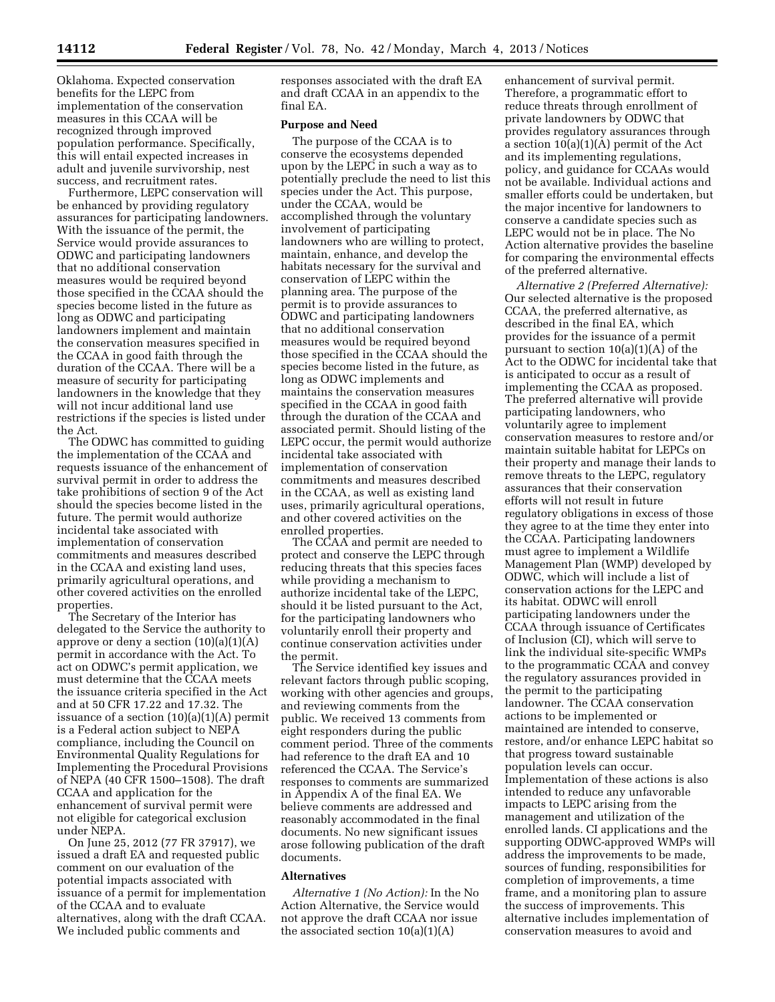Oklahoma. Expected conservation benefits for the LEPC from implementation of the conservation measures in this CCAA will be recognized through improved population performance. Specifically, this will entail expected increases in adult and juvenile survivorship, nest success, and recruitment rates.

Furthermore, LEPC conservation will be enhanced by providing regulatory assurances for participating landowners. With the issuance of the permit, the Service would provide assurances to ODWC and participating landowners that no additional conservation measures would be required beyond those specified in the CCAA should the species become listed in the future as long as ODWC and participating landowners implement and maintain the conservation measures specified in the CCAA in good faith through the duration of the CCAA. There will be a measure of security for participating landowners in the knowledge that they will not incur additional land use restrictions if the species is listed under the Act.

The ODWC has committed to guiding the implementation of the CCAA and requests issuance of the enhancement of survival permit in order to address the take prohibitions of section 9 of the Act should the species become listed in the future. The permit would authorize incidental take associated with implementation of conservation commitments and measures described in the CCAA and existing land uses, primarily agricultural operations, and other covered activities on the enrolled properties.

The Secretary of the Interior has delegated to the Service the authority to approve or deny a section  $(10)(a)(1)(A)$ permit in accordance with the Act. To act on ODWC's permit application, we must determine that the CCAA meets the issuance criteria specified in the Act and at 50 CFR 17.22 and 17.32. The issuance of a section (10)(a)(1)(A) permit is a Federal action subject to NEPA compliance, including the Council on Environmental Quality Regulations for Implementing the Procedural Provisions of NEPA (40 CFR 1500–1508). The draft CCAA and application for the enhancement of survival permit were not eligible for categorical exclusion under NEPA.

On June 25, 2012 (77 FR 37917), we issued a draft EA and requested public comment on our evaluation of the potential impacts associated with issuance of a permit for implementation of the CCAA and to evaluate alternatives, along with the draft CCAA. We included public comments and

responses associated with the draft EA and draft CCAA in an appendix to the final EA.

## **Purpose and Need**

The purpose of the CCAA is to conserve the ecosystems depended upon by the LEPC in such a way as to potentially preclude the need to list this species under the Act. This purpose, under the CCAA, would be accomplished through the voluntary involvement of participating landowners who are willing to protect, maintain, enhance, and develop the habitats necessary for the survival and conservation of LEPC within the planning area. The purpose of the permit is to provide assurances to ODWC and participating landowners that no additional conservation measures would be required beyond those specified in the CCAA should the species become listed in the future, as long as ODWC implements and maintains the conservation measures specified in the CCAA in good faith through the duration of the CCAA and associated permit. Should listing of the LEPC occur, the permit would authorize incidental take associated with implementation of conservation commitments and measures described in the CCAA, as well as existing land uses, primarily agricultural operations, and other covered activities on the enrolled properties.

The CCAA and permit are needed to protect and conserve the LEPC through reducing threats that this species faces while providing a mechanism to authorize incidental take of the LEPC, should it be listed pursuant to the Act, for the participating landowners who voluntarily enroll their property and continue conservation activities under the permit.

The Service identified key issues and relevant factors through public scoping, working with other agencies and groups, and reviewing comments from the public. We received 13 comments from eight responders during the public comment period. Three of the comments had reference to the draft EA and 10 referenced the CCAA. The Service's responses to comments are summarized in Appendix A of the final EA. We believe comments are addressed and reasonably accommodated in the final documents. No new significant issues arose following publication of the draft documents.

#### **Alternatives**

*Alternative 1 (No Action):* In the No Action Alternative, the Service would not approve the draft CCAA nor issue the associated section  $10(a)(1)(A)$ 

enhancement of survival permit. Therefore, a programmatic effort to reduce threats through enrollment of private landowners by ODWC that provides regulatory assurances through a section 10(a)(1)(A) permit of the Act and its implementing regulations, policy, and guidance for CCAAs would not be available. Individual actions and smaller efforts could be undertaken, but the major incentive for landowners to conserve a candidate species such as LEPC would not be in place. The No Action alternative provides the baseline for comparing the environmental effects of the preferred alternative.

*Alternative 2 (Preferred Alternative):*  Our selected alternative is the proposed CCAA, the preferred alternative, as described in the final EA, which provides for the issuance of a permit pursuant to section 10(a)(1)(A) of the Act to the ODWC for incidental take that is anticipated to occur as a result of implementing the CCAA as proposed. The preferred alternative will provide participating landowners, who voluntarily agree to implement conservation measures to restore and/or maintain suitable habitat for LEPCs on their property and manage their lands to remove threats to the LEPC, regulatory assurances that their conservation efforts will not result in future regulatory obligations in excess of those they agree to at the time they enter into the CCAA. Participating landowners must agree to implement a Wildlife Management Plan (WMP) developed by ODWC, which will include a list of conservation actions for the LEPC and its habitat. ODWC will enroll participating landowners under the CCAA through issuance of Certificates of Inclusion (CI), which will serve to link the individual site-specific WMPs to the programmatic CCAA and convey the regulatory assurances provided in the permit to the participating landowner. The CCAA conservation actions to be implemented or maintained are intended to conserve, restore, and/or enhance LEPC habitat so that progress toward sustainable population levels can occur. Implementation of these actions is also intended to reduce any unfavorable impacts to LEPC arising from the management and utilization of the enrolled lands. CI applications and the supporting ODWC-approved WMPs will address the improvements to be made, sources of funding, responsibilities for completion of improvements, a time frame, and a monitoring plan to assure the success of improvements. This alternative includes implementation of conservation measures to avoid and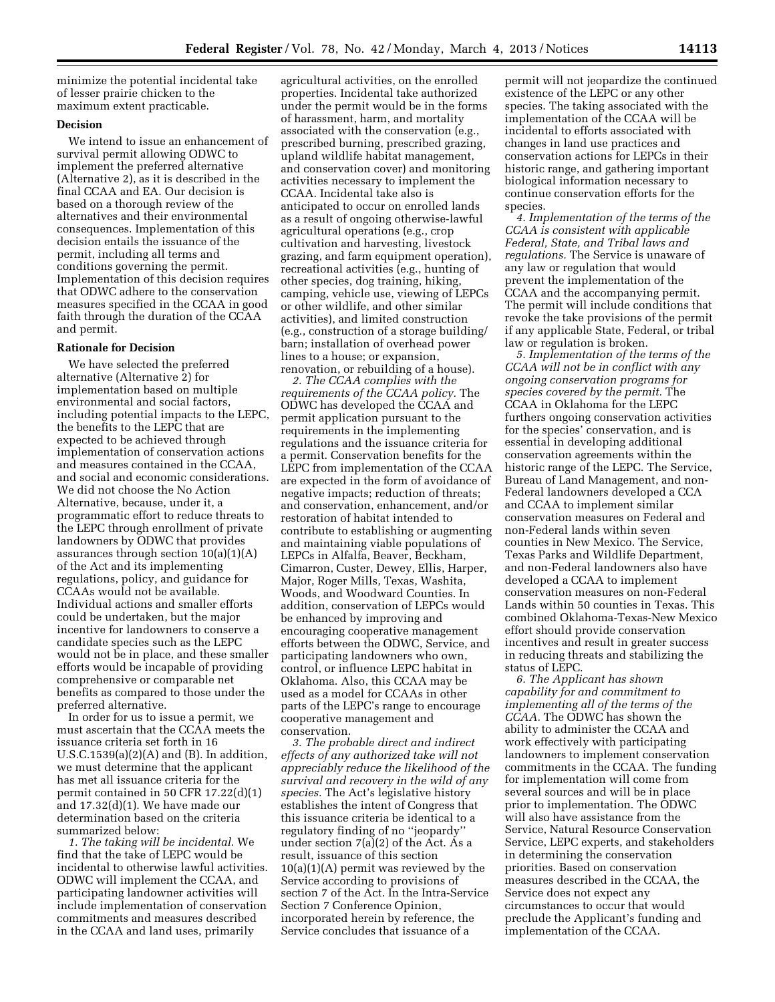minimize the potential incidental take of lesser prairie chicken to the maximum extent practicable.

## **Decision**

We intend to issue an enhancement of survival permit allowing ODWC to implement the preferred alternative (Alternative 2), as it is described in the final CCAA and EA. Our decision is based on a thorough review of the alternatives and their environmental consequences. Implementation of this decision entails the issuance of the permit, including all terms and conditions governing the permit. Implementation of this decision requires that ODWC adhere to the conservation measures specified in the CCAA in good faith through the duration of the CCAA and permit.

#### **Rationale for Decision**

We have selected the preferred alternative (Alternative 2) for implementation based on multiple environmental and social factors, including potential impacts to the LEPC, the benefits to the LEPC that are expected to be achieved through implementation of conservation actions and measures contained in the CCAA, and social and economic considerations. We did not choose the No Action Alternative, because, under it, a programmatic effort to reduce threats to the LEPC through enrollment of private landowners by ODWC that provides assurances through section  $10(a)(1)(A)$ of the Act and its implementing regulations, policy, and guidance for CCAAs would not be available. Individual actions and smaller efforts could be undertaken, but the major incentive for landowners to conserve a candidate species such as the LEPC would not be in place, and these smaller efforts would be incapable of providing comprehensive or comparable net benefits as compared to those under the preferred alternative.

In order for us to issue a permit, we must ascertain that the CCAA meets the issuance criteria set forth in 16 U.S.C.1539(a) $(2)(A)$  and  $(B)$ . In addition, we must determine that the applicant has met all issuance criteria for the permit contained in 50 CFR 17.22(d)(1) and 17.32(d)(1). We have made our determination based on the criteria summarized below:

*1. The taking will be incidental.* We find that the take of LEPC would be incidental to otherwise lawful activities. ODWC will implement the CCAA, and participating landowner activities will include implementation of conservation commitments and measures described in the CCAA and land uses, primarily

agricultural activities, on the enrolled properties. Incidental take authorized under the permit would be in the forms of harassment, harm, and mortality associated with the conservation (e.g., prescribed burning, prescribed grazing, upland wildlife habitat management, and conservation cover) and monitoring activities necessary to implement the CCAA. Incidental take also is anticipated to occur on enrolled lands as a result of ongoing otherwise-lawful agricultural operations (e.g., crop cultivation and harvesting, livestock grazing, and farm equipment operation), recreational activities (e.g., hunting of other species, dog training, hiking, camping, vehicle use, viewing of LEPCs or other wildlife, and other similar activities), and limited construction (e.g., construction of a storage building/ barn; installation of overhead power lines to a house; or expansion, renovation, or rebuilding of a house).

*2. The CCAA complies with the requirements of the CCAA policy.* The ODWC has developed the CCAA and permit application pursuant to the requirements in the implementing regulations and the issuance criteria for a permit. Conservation benefits for the LEPC from implementation of the CCAA are expected in the form of avoidance of negative impacts; reduction of threats; and conservation, enhancement, and/or restoration of habitat intended to contribute to establishing or augmenting and maintaining viable populations of LEPCs in Alfalfa, Beaver, Beckham, Cimarron, Custer, Dewey, Ellis, Harper, Major, Roger Mills, Texas, Washita, Woods, and Woodward Counties. In addition, conservation of LEPCs would be enhanced by improving and encouraging cooperative management efforts between the ODWC, Service, and participating landowners who own, control, or influence LEPC habitat in Oklahoma. Also, this CCAA may be used as a model for CCAAs in other parts of the LEPC's range to encourage cooperative management and conservation.

*3. The probable direct and indirect effects of any authorized take will not appreciably reduce the likelihood of the survival and recovery in the wild of any species.* The Act's legislative history establishes the intent of Congress that this issuance criteria be identical to a regulatory finding of no ''jeopardy'' under section 7(a)(2) of the Act. As a result, issuance of this section  $10(a)(1)(A)$  permit was reviewed by the Service according to provisions of section 7 of the Act. In the Intra-Service Section 7 Conference Opinion, incorporated herein by reference, the Service concludes that issuance of a

permit will not jeopardize the continued existence of the LEPC or any other species. The taking associated with the implementation of the CCAA will be incidental to efforts associated with changes in land use practices and conservation actions for LEPCs in their historic range, and gathering important biological information necessary to continue conservation efforts for the species.

*4. Implementation of the terms of the CCAA is consistent with applicable Federal, State, and Tribal laws and regulations.* The Service is unaware of any law or regulation that would prevent the implementation of the CCAA and the accompanying permit. The permit will include conditions that revoke the take provisions of the permit if any applicable State, Federal, or tribal law or regulation is broken.

*5. Implementation of the terms of the CCAA will not be in conflict with any ongoing conservation programs for species covered by the permit.* The CCAA in Oklahoma for the LEPC furthers ongoing conservation activities for the species' conservation, and is essential in developing additional conservation agreements within the historic range of the LEPC. The Service, Bureau of Land Management, and non-Federal landowners developed a CCA and CCAA to implement similar conservation measures on Federal and non-Federal lands within seven counties in New Mexico. The Service, Texas Parks and Wildlife Department, and non-Federal landowners also have developed a CCAA to implement conservation measures on non-Federal Lands within 50 counties in Texas. This combined Oklahoma-Texas-New Mexico effort should provide conservation incentives and result in greater success in reducing threats and stabilizing the status of LEPC.

*6. The Applicant has shown capability for and commitment to implementing all of the terms of the CCAA.* The ODWC has shown the ability to administer the CCAA and work effectively with participating landowners to implement conservation commitments in the CCAA. The funding for implementation will come from several sources and will be in place prior to implementation. The ODWC will also have assistance from the Service, Natural Resource Conservation Service, LEPC experts, and stakeholders in determining the conservation priorities. Based on conservation measures described in the CCAA, the Service does not expect any circumstances to occur that would preclude the Applicant's funding and implementation of the CCAA.